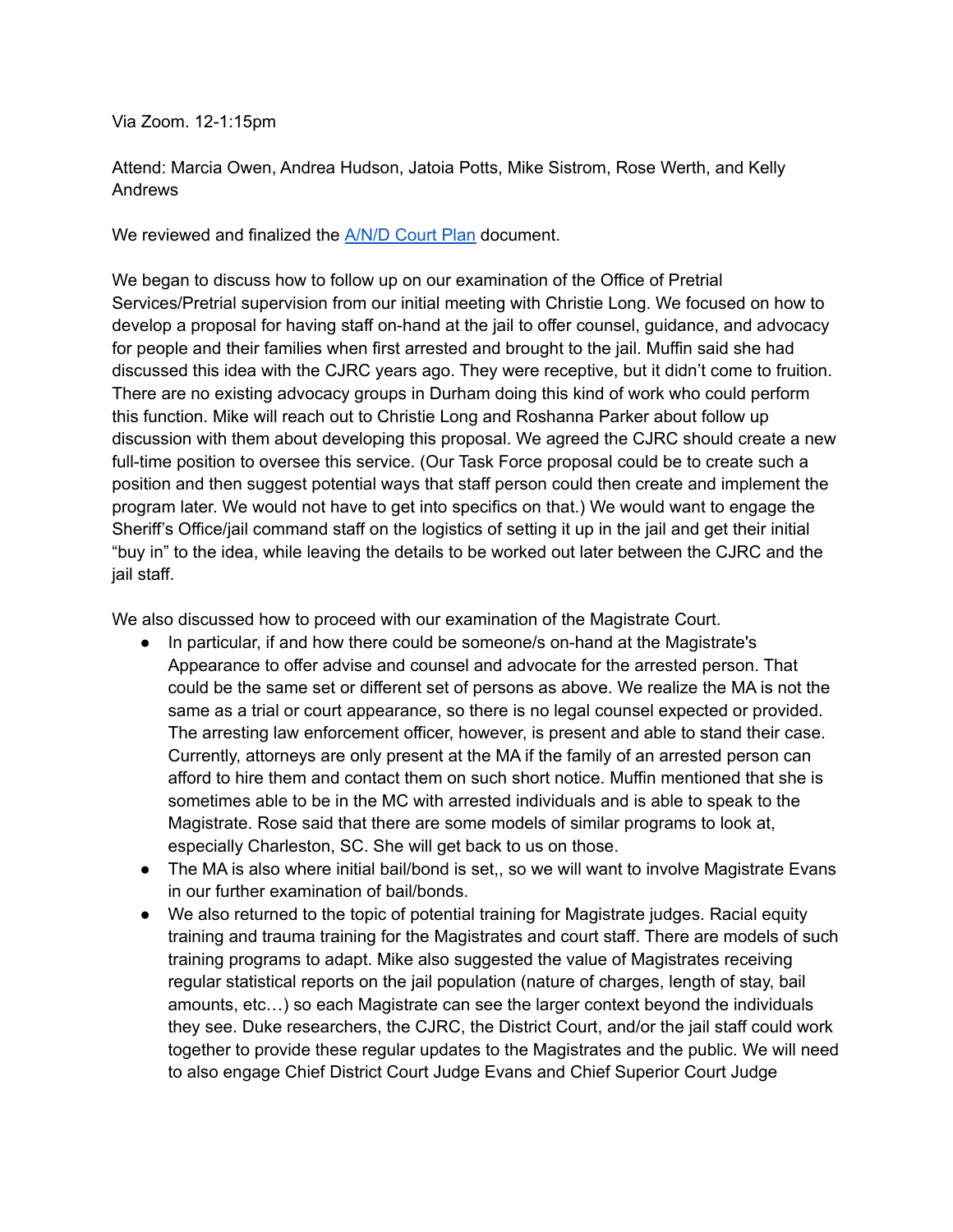Via Zoom. 12-1:15pm

Attend: Marcia Owen, Andrea Hudson, Jatoia Potts, Mike Sistrom, Rose Werth, and Kelly Andrews

We reviewed and finalized the [A/N/D](https://docs.google.com/document/d/1Nxc4s6RGk9qpu2_u-iFdBMDfpVs1-J9PfUj48Ba-fig/edit) Court Plan document.

We began to discuss how to follow up on our examination of the Office of Pretrial Services/Pretrial supervision from our initial meeting with Christie Long. We focused on how to develop a proposal for having staff on-hand at the jail to offer counsel, guidance, and advocacy for people and their families when first arrested and brought to the jail. Muffin said she had discussed this idea with the CJRC years ago. They were receptive, but it didn't come to fruition. There are no existing advocacy groups in Durham doing this kind of work who could perform this function. Mike will reach out to Christie Long and Roshanna Parker about follow up discussion with them about developing this proposal. We agreed the CJRC should create a new full-time position to oversee this service. (Our Task Force proposal could be to create such a position and then suggest potential ways that staff person could then create and implement the program later. We would not have to get into specifics on that.) We would want to engage the Sheriff's Office/jail command staff on the logistics of setting it up in the jail and get their initial "buy in" to the idea, while leaving the details to be worked out later between the CJRC and the jail staff.

We also discussed how to proceed with our examination of the Magistrate Court.

- In particular, if and how there could be someone/s on-hand at the Magistrate's Appearance to offer advise and counsel and advocate for the arrested person. That could be the same set or different set of persons as above. We realize the MA is not the same as a trial or court appearance, so there is no legal counsel expected or provided. The arresting law enforcement officer, however, is present and able to stand their case. Currently, attorneys are only present at the MA if the family of an arrested person can afford to hire them and contact them on such short notice. Muffin mentioned that she is sometimes able to be in the MC with arrested individuals and is able to speak to the Magistrate. Rose said that there are some models of similar programs to look at, especially Charleston, SC. She will get back to us on those.
- The MA is also where initial bail/bond is set,, so we will want to involve Magistrate Evans in our further examination of bail/bonds.
- We also returned to the topic of potential training for Magistrate judges. Racial equity training and trauma training for the Magistrates and court staff. There are models of such training programs to adapt. Mike also suggested the value of Magistrates receiving regular statistical reports on the jail population (nature of charges, length of stay, bail amounts, etc…) so each Magistrate can see the larger context beyond the individuals they see. Duke researchers, the CJRC, the District Court, and/or the jail staff could work together to provide these regular updates to the Magistrates and the public. We will need to also engage Chief District Court Judge Evans and Chief Superior Court Judge